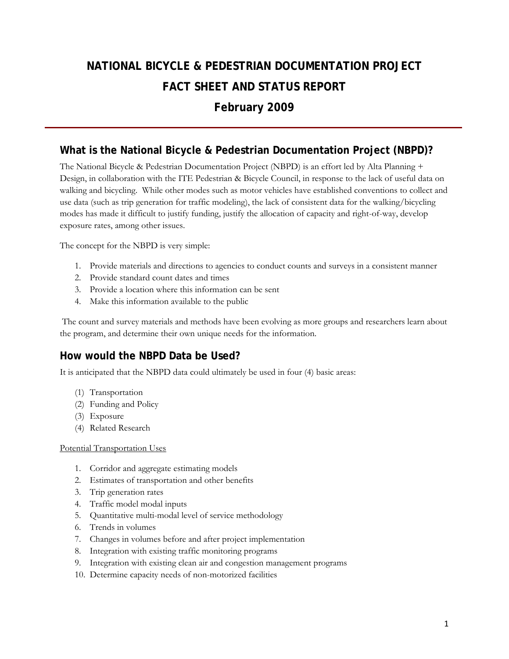# **NATIONAL BICYCLE & PEDESTRIAN DOCUMENTATION PROJECT FACT SHEET AND STATUS REPORT February 2009**

### **What is the National Bicycle & Pedestrian Documentation Project (NBPD)?**

The National Bicycle & Pedestrian Documentation Project (NBPD) is an effort led by Alta Planning + Design, in collaboration with the ITE Pedestrian & Bicycle Council, in response to the lack of useful data on walking and bicycling. While other modes such as motor vehicles have established conventions to collect and use data (such as trip generation for traffic modeling), the lack of consistent data for the walking/bicycling modes has made it difficult to justify funding, justify the allocation of capacity and right-of-way, develop exposure rates, among other issues.

The concept for the NBPD is very simple:

- 1. Provide materials and directions to agencies to conduct counts and surveys in a consistent manner
- 2. Provide standard count dates and times
- 3. Provide a location where this information can be sent
- 4. Make this information available to the public

 The count and survey materials and methods have been evolving as more groups and researchers learn about the program, and determine their own unique needs for the information.

### **How would the NBPD Data be Used?**

It is anticipated that the NBPD data could ultimately be used in four (4) basic areas:

- (1) Transportation
- (2) Funding and Policy
- (3) Exposure
- (4) Related Research

#### Potential Transportation Uses

- 1. Corridor and aggregate estimating models
- 2. Estimates of transportation and other benefits
- 3. Trip generation rates
- 4. Traffic model modal inputs
- 5. Quantitative multi-modal level of service methodology
- 6. Trends in volumes
- 7. Changes in volumes before and after project implementation
- 8. Integration with existing traffic monitoring programs
- 9. Integration with existing clean air and congestion management programs
- 10. Determine capacity needs of non-motorized facilities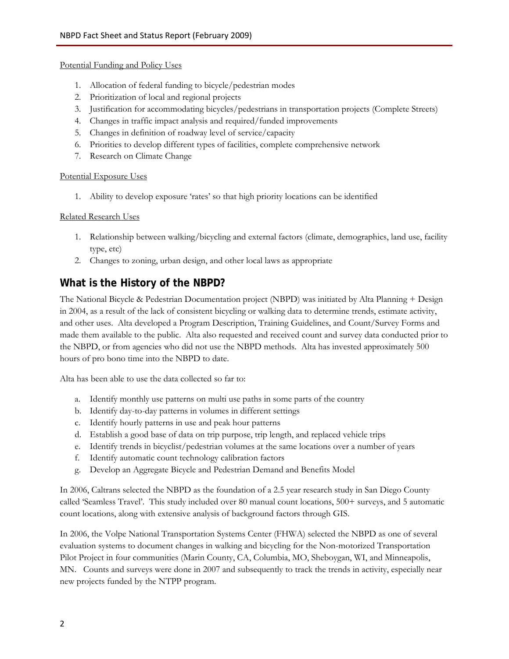#### Potential Funding and Policy Uses

- 1. Allocation of federal funding to bicycle/pedestrian modes
- 2. Prioritization of local and regional projects
- 3. Justification for accommodating bicycles/pedestrians in transportation projects (Complete Streets)
- 4. Changes in traffic impact analysis and required/funded improvements
- 5. Changes in definition of roadway level of service/capacity
- 6. Priorities to develop different types of facilities, complete comprehensive network
- 7. Research on Climate Change

#### Potential Exposure Uses

1. Ability to develop exposure 'rates' so that high priority locations can be identified

#### Related Research Uses

- 1. Relationship between walking/bicycling and external factors (climate, demographics, land use, facility type, etc)
- 2. Changes to zoning, urban design, and other local laws as appropriate

### **What is the History of the NBPD?**

The National Bicycle & Pedestrian Documentation project (NBPD) was initiated by Alta Planning + Design in 2004, as a result of the lack of consistent bicycling or walking data to determine trends, estimate activity, and other uses. Alta developed a Program Description, Training Guidelines, and Count/Survey Forms and made them available to the public. Alta also requested and received count and survey data conducted prior to the NBPD, or from agencies who did not use the NBPD methods. Alta has invested approximately 500 hours of pro bono time into the NBPD to date.

Alta has been able to use the data collected so far to:

- a. Identify monthly use patterns on multi use paths in some parts of the country
- b. Identify day-to-day patterns in volumes in different settings
- c. Identify hourly patterns in use and peak hour patterns
- d. Establish a good base of data on trip purpose, trip length, and replaced vehicle trips
- e. Identify trends in bicyclist/pedestrian volumes at the same locations over a number of years
- f. Identify automatic count technology calibration factors
- g. Develop an Aggregate Bicycle and Pedestrian Demand and Benefits Model

In 2006, Caltrans selected the NBPD as the foundation of a 2.5 year research study in San Diego County called 'Seamless Travel'. This study included over 80 manual count locations, 500+ surveys, and 5 automatic count locations, along with extensive analysis of background factors through GIS.

In 2006, the Volpe National Transportation Systems Center (FHWA) selected the NBPD as one of several evaluation systems to document changes in walking and bicycling for the Non-motorized Transportation Pilot Project in four communities (Marin County, CA, Columbia, MO, Sheboygan, WI, and Minneapolis, MN. Counts and surveys were done in 2007 and subsequently to track the trends in activity, especially near new projects funded by the NTPP program.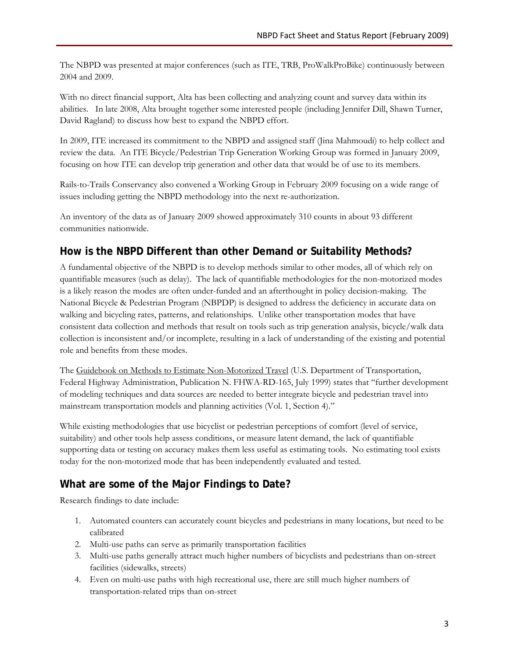The NBPD was presented at major conferences (such as ITE, TRB, ProWalkProBike) continuously between 2004 and 2009.

With no direct financial support, Alta has been collecting and analyzing count and survey data within its abilities. In late 2008, Alta brought together some interested people (including Jennifer Dill, Shawn Turner, David Ragland) to discuss how best to expand the NBPD effort.

In 2009, ITE increased its commitment to the NBPD and assigned staff (Jina Mahmoudi) to help collect and review the data. An ITE Bicycle/Pedestrian Trip Generation Working Group was formed in January 2009, focusing on how ITE can develop trip generation and other data that would be of use to its members.

Rails-to-Trails Conservancy also convened a Working Group in February 2009 focusing on a wide range of issues including getting the NBPD methodology into the next re-authorization.

An inventory of the data as of January 2009 showed approximately 310 counts in about 93 different communities nationwide.

## **How is the NBPD Different than other Demand or Suitability Methods?**

A fundamental objective of the NBPD is to develop methods similar to other modes, all of which rely on quantifiable measures (such as delay). The lack of quantifiable methodologies for the non-motorized modes is a likely reason the modes are often under-funded and an afterthought in policy decision-making. The National Bicycle & Pedestrian Program (NBPDP) is designed to address the deficiency in accurate data on walking and bicycling rates, patterns, and relationships. Unlike other transportation modes that have consistent data collection and methods that result on tools such as trip generation analysis, bicycle/walk data collection is inconsistent and/or incomplete, resulting in a lack of understanding of the existing and potential role and benefits from these modes.

The Guidebook on Methods to Estimate Non-Motorized Travel (U.S. Department of Transportation, Federal Highway Administration, Publication N. FHWA-RD-165, July 1999) states that "further development of modeling techniques and data sources are needed to better integrate bicycle and pedestrian travel into mainstream transportation models and planning activities (Vol. 1, Section 4)."

While existing methodologies that use bicyclist or pedestrian perceptions of comfort (level of service, suitability) and other tools help assess conditions, or measure latent demand, the lack of quantifiable supporting data or testing on accuracy makes them less useful as estimating tools. No estimating tool exists today for the non-motorized mode that has been independently evaluated and tested.

# **What are some of the Major Findings to Date?**

Research findings to date include:

- 1. Automated counters can accurately count bicycles and pedestrians in many locations, but need to be calibrated
- 2. Multi-use paths can serve as primarily transportation facilities
- 3. Multi-use paths generally attract much higher numbers of bicyclists and pedestrians than on-street facilities (sidewalks, streets)
- 4. Even on multi-use paths with high recreational use, there are still much higher numbers of transportation-related trips than on-street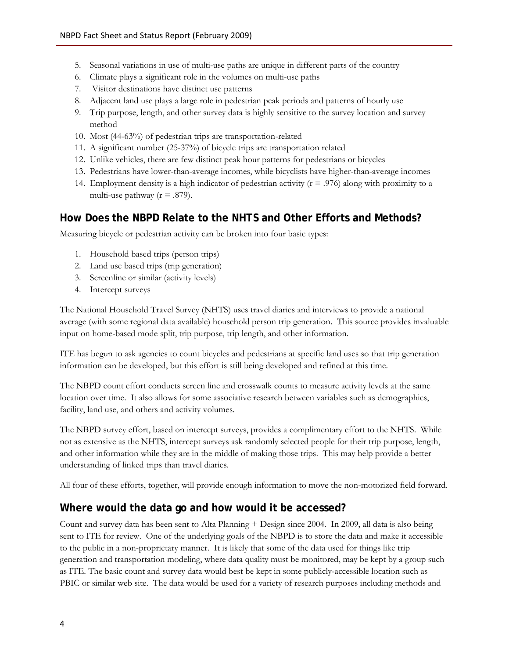- 5. Seasonal variations in use of multi-use paths are unique in different parts of the country
- 6. Climate plays a significant role in the volumes on multi-use paths
- 7. Visitor destinations have distinct use patterns
- 8. Adjacent land use plays a large role in pedestrian peak periods and patterns of hourly use
- 9. Trip purpose, length, and other survey data is highly sensitive to the survey location and survey method
- 10. Most (44-63%) of pedestrian trips are transportation-related
- 11. A significant number (25-37%) of bicycle trips are transportation related
- 12. Unlike vehicles, there are few distinct peak hour patterns for pedestrians or bicycles
- 13. Pedestrians have lower-than-average incomes, while bicyclists have higher-than-average incomes
- 14. Employment density is a high indicator of pedestrian activity ( $r = .976$ ) along with proximity to a multi-use pathway ( $r = .879$ ).

### **How Does the NBPD Relate to the NHTS and Other Efforts and Methods?**

Measuring bicycle or pedestrian activity can be broken into four basic types:

- 1. Household based trips (person trips)
- 2. Land use based trips (trip generation)
- 3. Screenline or similar (activity levels)
- 4. Intercept surveys

The National Household Travel Survey (NHTS) uses travel diaries and interviews to provide a national average (with some regional data available) household person trip generation. This source provides invaluable input on home-based mode split, trip purpose, trip length, and other information.

ITE has begun to ask agencies to count bicycles and pedestrians at specific land uses so that trip generation information can be developed, but this effort is still being developed and refined at this time.

The NBPD count effort conducts screen line and crosswalk counts to measure activity levels at the same location over time. It also allows for some associative research between variables such as demographics, facility, land use, and others and activity volumes.

The NBPD survey effort, based on intercept surveys, provides a complimentary effort to the NHTS. While not as extensive as the NHTS, intercept surveys ask randomly selected people for their trip purpose, length, and other information while they are in the middle of making those trips. This may help provide a better understanding of linked trips than travel diaries.

All four of these efforts, together, will provide enough information to move the non-motorized field forward.

### **Where would the data go and how would it be accessed?**

Count and survey data has been sent to Alta Planning + Design since 2004. In 2009, all data is also being sent to ITE for review. One of the underlying goals of the NBPD is to store the data and make it accessible to the public in a non-proprietary manner. It is likely that some of the data used for things like trip generation and transportation modeling, where data quality must be monitored, may be kept by a group such as ITE. The basic count and survey data would best be kept in some publicly-accessible location such as PBIC or similar web site. The data would be used for a variety of research purposes including methods and